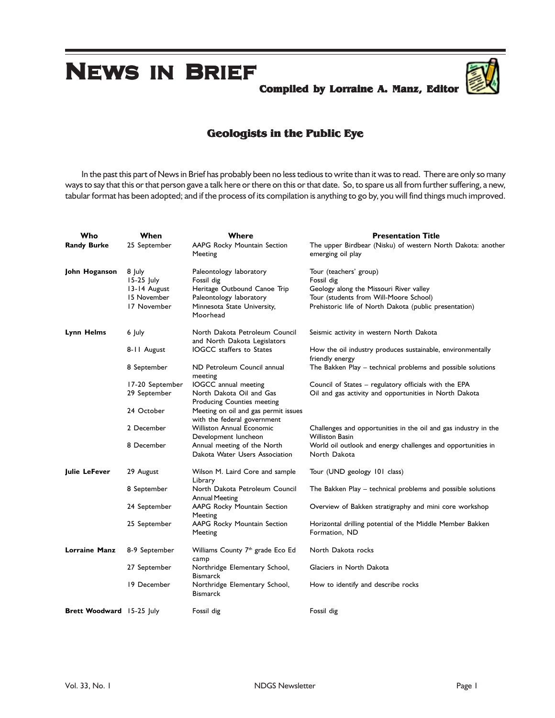# **NEWS IN BRIEF**

**Compiled by Lorraine A. Manz, Editor**



# **Geologists in the Public Eye**

In the past this part of News in Brief has probably been no less tedious to write than it was to read. There are only so many ways to say that this or that person gave a talk here or there on this or that date. So, to spare us all from further suffering, a new, tabular format has been adopted; and if the process of its compilation is anything to go by, you will find things much improved.

| Who                              | When                   | Where                                                               | <b>Presentation Title</b>                                                                 |
|----------------------------------|------------------------|---------------------------------------------------------------------|-------------------------------------------------------------------------------------------|
| <b>Randy Burke</b>               | 25 September           | AAPG Rocky Mountain Section<br>Meeting                              | The upper Birdbear (Nisku) of western North Dakota: another<br>emerging oil play          |
| John Hoganson                    | 8 July<br>$15-25$ July | Paleontology laboratory<br>Fossil dig                               | Tour (teachers' group)<br>Fossil dig                                                      |
|                                  | 13-14 August           | Heritage Outbound Canoe Trip                                        | Geology along the Missouri River valley                                                   |
|                                  | 15 November            | Paleontology laboratory                                             | Tour (students from Will-Moore School)                                                    |
|                                  | 17 November            | Minnesota State University,<br>Moorhead                             | Prehistoric life of North Dakota (public presentation)                                    |
| <b>Lynn Helms</b>                | 6 July                 | North Dakota Petroleum Council<br>and North Dakota Legislators      | Seismic activity in western North Dakota                                                  |
|                                  | 8-11 August            | <b>IOGCC</b> staffers to States                                     | How the oil industry produces sustainable, environmentally<br>friendly energy             |
|                                  | 8 September            | ND Petroleum Council annual<br>meeting                              | The Bakken Play - technical problems and possible solutions                               |
|                                  | 17-20 September        | IOGCC annual meeting                                                | Council of States - regulatory officials with the EPA                                     |
|                                  | 29 September           | North Dakota Oil and Gas<br><b>Producing Counties meeting</b>       | Oil and gas activity and opportunities in North Dakota                                    |
|                                  | 24 October             | Meeting on oil and gas permit issues<br>with the federal government |                                                                                           |
|                                  | 2 December             | <b>Williston Annual Economic</b><br>Development luncheon            | Challenges and opportunities in the oil and gas industry in the<br><b>Williston Basin</b> |
|                                  | 8 December             | Annual meeting of the North<br>Dakota Water Users Association       | World oil outlook and energy challenges and opportunities in<br>North Dakota              |
| Julie LeFever                    | 29 August              | Wilson M. Laird Core and sample<br>Library                          | Tour (UND geology 101 class)                                                              |
|                                  | 8 September            | North Dakota Petroleum Council<br><b>Annual Meeting</b>             | The Bakken Play – technical problems and possible solutions                               |
|                                  | 24 September           | AAPG Rocky Mountain Section<br>Meeting                              | Overview of Bakken stratigraphy and mini core workshop                                    |
|                                  | 25 September           | AAPG Rocky Mountain Section<br>Meeting                              | Horizontal drilling potential of the Middle Member Bakken<br>Formation, ND                |
| <b>Lorraine Manz</b>             | 8-9 September          | Williams County 7 <sup>th</sup> grade Eco Ed<br>camp                | North Dakota rocks                                                                        |
|                                  | 27 September           | Northridge Elementary School,<br>Bismarck                           | Glaciers in North Dakota                                                                  |
|                                  | 19 December            | Northridge Elementary School,<br>Bismarck                           | How to identify and describe rocks                                                        |
| <b>Brett Woodward</b> 15-25 July |                        | Fossil dig                                                          | Fossil dig                                                                                |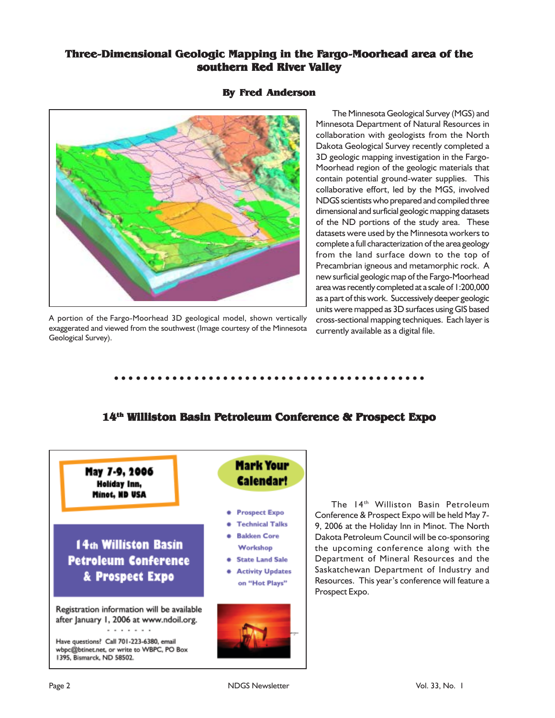# **Three-Dimensional Geologic Mapping in the Fargo-Moorhead area of the southern Red River Valley**



#### **By Fred Anderson**

A portion of the Fargo-Moorhead 3D geological model, shown vertically exaggerated and viewed from the southwest (Image courtesy of the Minnesota Geological Survey).

The Minnesota Geological Survey (MGS) and Minnesota Department of Natural Resources in collaboration with geologists from the North Dakota Geological Survey recently completed a 3D geologic mapping investigation in the Fargo-Moorhead region of the geologic materials that contain potential ground-water supplies. This collaborative effort, led by the MGS, involved NDGS scientists who prepared and compiled three dimensional and surficial geologic mapping datasets of the ND portions of the study area. These datasets were used by the Minnesota workers to complete a full characterization of the area geology from the land surface down to the top of Precambrian igneous and metamorphic rock. A new surficial geologic map of the Fargo-Moorhead area was recently completed at a scale of 1:200,000 as a part of this work. Successively deeper geologic units were mapped as 3D surfaces using GIS based cross-sectional mapping techniques. Each layer is currently available as a digital file.

# **14th Williston Basin Petroleum Conference & Prospect Expo**

○○○○○○○○○○○○○○○○○○○○○○○○○○○○○○○○○○○○○○○○○○○



The 14<sup>th</sup> Williston Basin Petroleum Conference & Prospect Expo will be held May 7- 9, 2006 at the Holiday Inn in Minot. The North Dakota Petroleum Council will be co-sponsoring the upcoming conference along with the Department of Mineral Resources and the Saskatchewan Department of Industry and Resources.This year's conference will feature a Prospect Expo.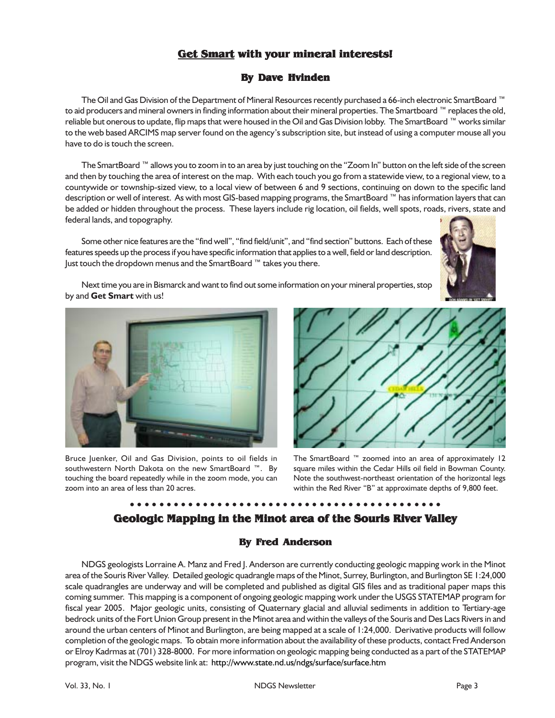# **Get Smart with your mineral interests!**

#### **By Dave Hvinden**

The Oil and Gas Division of the Department of Mineral Resources recently purchased a 66-inch electronic SmartBoard ™ to aid producers and mineral owners in finding information about their mineral properties. The Smartboard ™ replaces the old, reliable but onerous to update, flip maps that were housed in the Oil and Gas Division lobby. The SmartBoard ™ works similar to the web based ARCIMS map server found on the agency's subscription site, but instead of using a computer mouse all you have to do is touch the screen.

The SmartBoard ™ allows you to zoom in to an area by just touching on the "Zoom In" button on the left side of the screen and then by touching the area of interest on the map. With each touch you go from a statewide view, to a regional view, to a countywide or township-sized view, to a local view of between 6 and 9 sections, continuing on down to the specific land description or well of interest. As with most GIS-based mapping programs, the SmartBoard ™ has information layers that can be added or hidden throughout the process. These layers include rig location, oil fields, well spots, roads, rivers, state and federal lands, and topography.

Some other nice features are the "find well", "find field/unit", and "find section" buttons. Each of these features speeds up the process if you have specific information that applies to a well, field or land description. Just touch the dropdown menus and the SmartBoard ™ takes you there.



Next time you are in Bismarck and want to find out some information on your mineral properties, stop by and **Get Smart** with us!



Bruce Juenker, Oil and Gas Division, points to oil fields in southwestern North Dakota on the new SmartBoard ™. By touching the board repeatedly while in the zoom mode, you can zoom into an area of less than 20 acres.



The SmartBoard ™ zoomed into an area of approximately 12 square miles within the Cedar Hills oil field in Bowman County. Note the southwest-northeast orientation of the horizontal legs within the Red River "B" at approximate depths of 9,800 feet.

## ○○○○○○○○○○○○○○○○○○○○○○○○○○○○○○○○○○○○○○○○○○○ **Geologic Mapping in the Minot area of the Souris River Valley**

#### **By Fred Anderson**

NDGS geologists Lorraine A. Manz and Fred J. Anderson are currently conducting geologic mapping work in the Minot area of the Souris River Valley. Detailed geologic quadrangle maps of the Minot, Surrey, Burlington, and Burlington SE 1:24,000 scale quadrangles are underway and will be completed and published as digital GIS files and as traditional paper maps this coming summer. This mapping is a component of ongoing geologic mapping work under the USGS STATEMAP program for fiscal year 2005. Major geologic units, consisting of Quaternary glacial and alluvial sediments in addition to Tertiary-age bedrock units of the Fort Union Group present in the Minot area and within the valleys of the Souris and Des Lacs Rivers in and around the urban centers of Minot and Burlington, are being mapped at a scale of 1:24,000. Derivative products will follow completion of the geologic maps. To obtain more information about the availability of these products, contact Fred Anderson or Elroy Kadrmas at (701) 328-8000. For more information on geologic mapping being conducted as a part of the STATEMAP program, visit the NDGS website link at: http://www.state.nd.us/ndgs/surface/surface.htm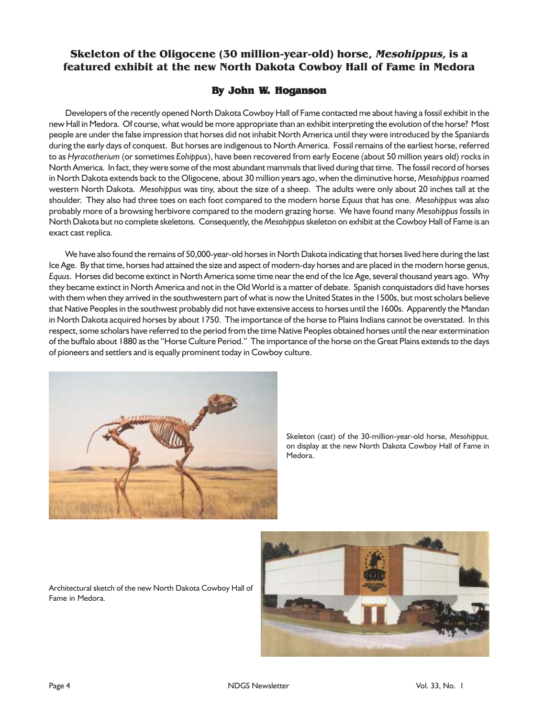# **Skeleton of the Oligocene (30 million-year-old) horse, Mesohippus, is a featured exhibit at the new North Dakota Cowboy Hall of Fame in Medora**

#### **By John W. Hoganson**

Developers of the recently opened North Dakota Cowboy Hall of Fame contacted me about having a fossil exhibit in the new Hall in Medora. Of course, what would be more appropriate than an exhibit interpreting the evolution of the horse? Most people are under the false impression that horses did not inhabit North America until they were introduced by the Spaniards during the early days of conquest. But horses are indigenous to North America. Fossil remains of the earliest horse, referred to as *Hyracotherium* (or sometimes *Eohippus*), have been recovered from early Eocene (about 50 million years old) rocks in North America. In fact, they were some of the most abundant mammals that lived during that time. The fossil record of horses in North Dakota extends back to the Oligocene, about 30 million years ago, when the diminutive horse, *Mesohippus* roamed western North Dakota. *Mesohippus* was tiny, about the size of a sheep. The adults were only about 20 inches tall at the shoulder. They also had three toes on each foot compared to the modern horse *Equus* that has one. *Mesohippus* was also probably more of a browsing herbivore compared to the modern grazing horse. We have found many *Mesohippus* fossils in North Dakota but no complete skeletons. Consequently, the *Mesohippus* skeleton on exhibit at the Cowboy Hall of Fame is an exact cast replica.

We have also found the remains of 50,000-year-old horses in North Dakota indicating that horses lived here during the last Ice Age. By that time, horses had attained the size and aspect of modern-day horses and are placed in the modern horse genus, *Equus*. Horses did become extinct in North America some time near the end of the Ice Age, several thousand years ago. Why they became extinct in North America and not in the Old World is a matter of debate. Spanish conquistadors did have horses with them when they arrived in the southwestern part of what is now the United States in the 1500s, but most scholars believe that Native Peoples in the southwest probably did not have extensive access to horses until the 1600s. Apparently the Mandan in North Dakota acquired horses by about 1750. The importance of the horse to Plains Indians cannot be overstated. In this respect, some scholars have referred to the period from the time Native Peoples obtained horses until the near extermination of the buffalo about 1880 as the "Horse Culture Period." The importance of the horse on the Great Plains extends to the days of pioneers and settlers and is equally prominent today in Cowboy culture.



Skeleton (cast) of the 30-million-year-old horse, *Mesohippus,* on display at the new North Dakota Cowboy Hall of Fame in Medora.

Architectural sketch of the new North Dakota Cowboy Hall of Fame in Medora.